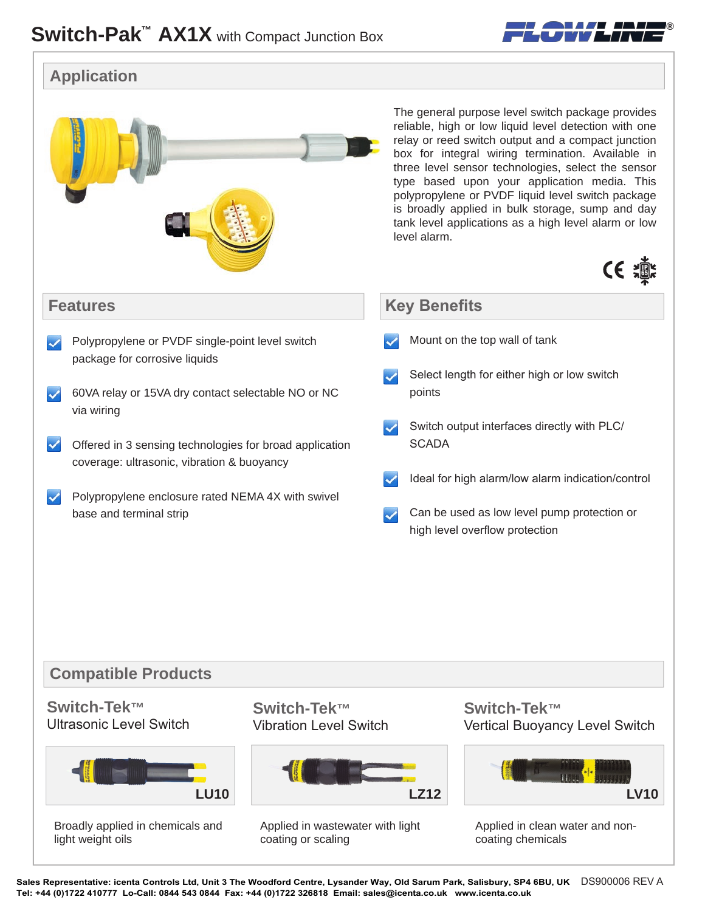

**®**

Sales Representative: icenta Controls Ltd, Unit 3 The Woodford Centre, Lysander Way, Old Sarum Park, Salisbury, SP4 6BU, UK DS900006 REV A **Tel: +44 (0)1722 410777 Lo-Call: 0844 543 0844 Fax: +44 (0)1722 326818 Email: sales@icenta.co.uk www.icenta.co.uk**